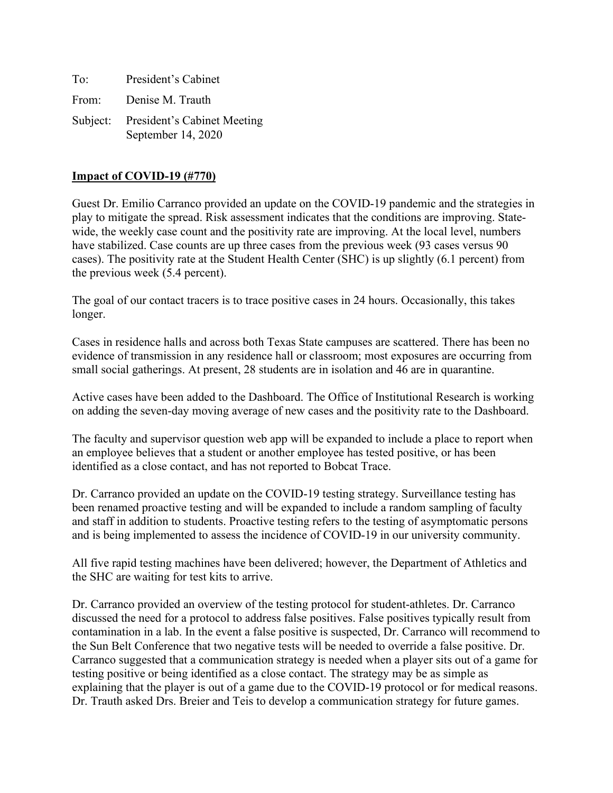| To:   | President's Cabinet                                        |
|-------|------------------------------------------------------------|
| From: | Denise M. Trauth                                           |
|       | Subject: President's Cabinet Meeting<br>September 14, 2020 |

### **Impact of COVID-19 (#770)**

Guest Dr. Emilio Carranco provided an update on the COVID-19 pandemic and the strategies in play to mitigate the spread. Risk assessment indicates that the conditions are improving. Statewide, the weekly case count and the positivity rate are improving. At the local level, numbers have stabilized. Case counts are up three cases from the previous week (93 cases versus 90 cases). The positivity rate at the Student Health Center (SHC) is up slightly (6.1 percent) from the previous week (5.4 percent).

The goal of our contact tracers is to trace positive cases in 24 hours. Occasionally, this takes longer.

Cases in residence halls and across both Texas State campuses are scattered. There has been no evidence of transmission in any residence hall or classroom; most exposures are occurring from small social gatherings. At present, 28 students are in isolation and 46 are in quarantine.

Active cases have been added to the Dashboard. The Office of Institutional Research is working on adding the seven-day moving average of new cases and the positivity rate to the Dashboard.

The faculty and supervisor question web app will be expanded to include a place to report when an employee believes that a student or another employee has tested positive, or has been identified as a close contact, and has not reported to Bobcat Trace.

Dr. Carranco provided an update on the COVID-19 testing strategy. Surveillance testing has been renamed proactive testing and will be expanded to include a random sampling of faculty and staff in addition to students. Proactive testing refers to the testing of asymptomatic persons and is being implemented to assess the incidence of COVID-19 in our university community.

All five rapid testing machines have been delivered; however, the Department of Athletics and the SHC are waiting for test kits to arrive.

Dr. Carranco provided an overview of the testing protocol for student-athletes. Dr. Carranco discussed the need for a protocol to address false positives. False positives typically result from contamination in a lab. In the event a false positive is suspected, Dr. Carranco will recommend to the Sun Belt Conference that two negative tests will be needed to override a false positive. Dr. Carranco suggested that a communication strategy is needed when a player sits out of a game for testing positive or being identified as a close contact. The strategy may be as simple as explaining that the player is out of a game due to the COVID-19 protocol or for medical reasons. Dr. Trauth asked Drs. Breier and Teis to develop a communication strategy for future games.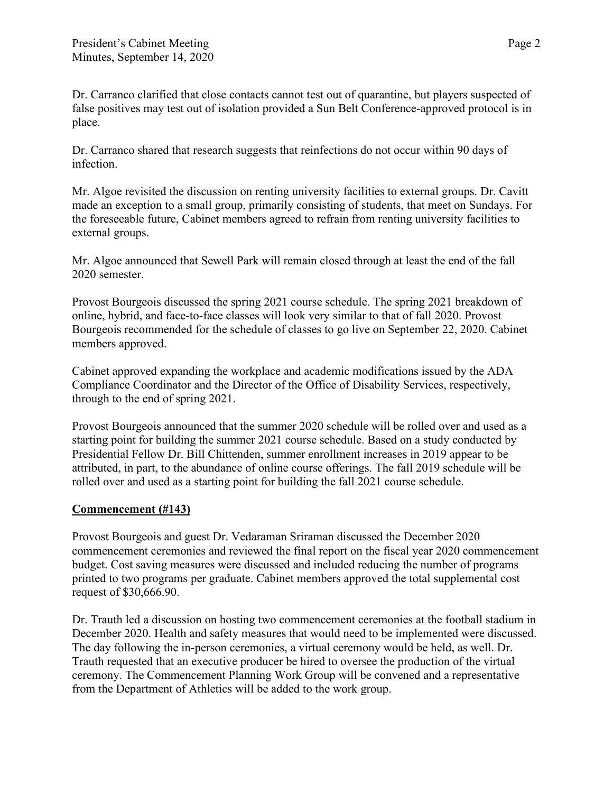Dr. Carranco clarified that close contacts cannot test out of quarantine, but players suspected of false positives may test out of isolation provided a Sun Belt Conference-approved protocol is in place.

Dr. Carranco shared that research suggests that reinfections do not occur within 90 days of infection.

Mr. Algoe revisited the discussion on renting university facilities to external groups. Dr. Cavitt made an exception to a small group, primarily consisting of students, that meet on Sundays. For the foreseeable future, Cabinet members agreed to refrain from renting university facilities to external groups.

Mr. Algoe announced that Sewell Park will remain closed through at least the end of the fall 2020 semester.

Provost Bourgeois discussed the spring 2021 course schedule. The spring 2021 breakdown of online, hybrid, and face-to-face classes will look very similar to that of fall 2020. Provost Bourgeois recommended for the schedule of classes to go live on September 22, 2020. Cabinet members approved.

Cabinet approved expanding the workplace and academic modifications issued by the ADA Compliance Coordinator and the Director of the Office of Disability Services, respectively, through to the end of spring 2021.

Provost Bourgeois announced that the summer 2020 schedule will be rolled over and used as a starting point for building the summer 2021 course schedule. Based on a study conducted by Presidential Fellow Dr. Bill Chittenden, summer enrollment increases in 2019 appear to be attributed, in part, to the abundance of online course offerings. The fall 2019 schedule will be rolled over and used as a starting point for building the fall 2021 course schedule.

## **Commencement (#143)**

Provost Bourgeois and guest Dr. Vedaraman Sriraman discussed the December 2020 commencement ceremonies and reviewed the final report on the fiscal year 2020 commencement budget. Cost saving measures were discussed and included reducing the number of programs printed to two programs per graduate. Cabinet members approved the total supplemental cost request of \$30,666.90.

Dr. Trauth led a discussion on hosting two commencement ceremonies at the football stadium in December 2020. Health and safety measures that would need to be implemented were discussed. The day following the in-person ceremonies, a virtual ceremony would be held, as well. Dr. Trauth requested that an executive producer be hired to oversee the production of the virtual ceremony. The Commencement Planning Work Group will be convened and a representative from the Department of Athletics will be added to the work group.